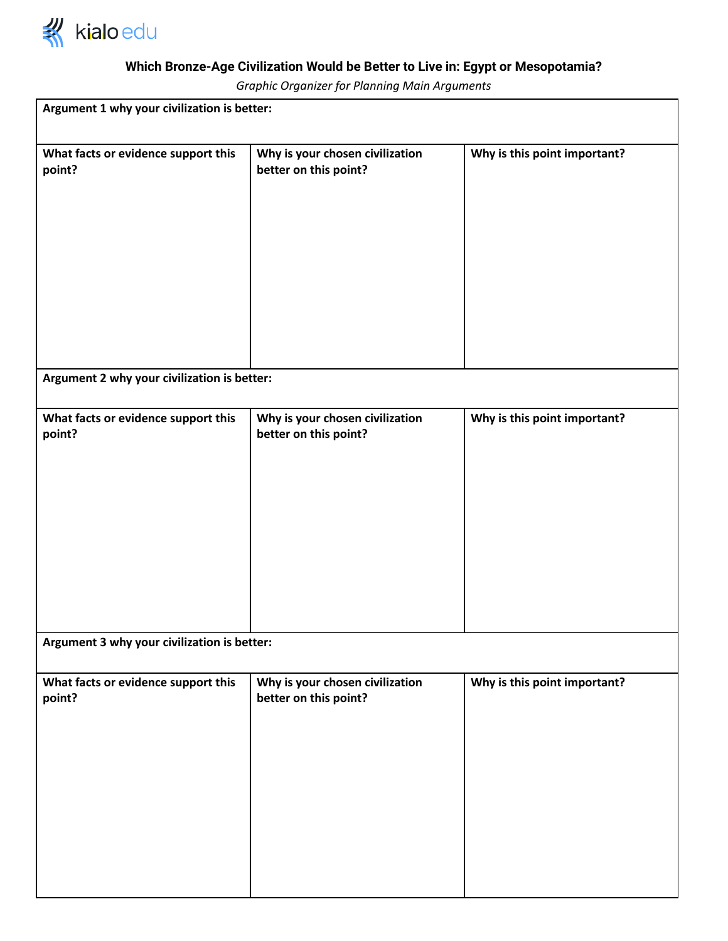

## **Which Bronze-Age Civilization Would be Better to Live in: Egypt or Mesopotamia?**

*Graphic Organizer for Planning Main Arguments*

| Argument 1 why your civilization is better:   |                                                          |                              |
|-----------------------------------------------|----------------------------------------------------------|------------------------------|
| What facts or evidence support this<br>point? | Why is your chosen civilization<br>better on this point? | Why is this point important? |
| Argument 2 why your civilization is better:   |                                                          |                              |
| What facts or evidence support this<br>point? | Why is your chosen civilization<br>better on this point? | Why is this point important? |
| Argument 3 why your civilization is better:   |                                                          |                              |
| What facts or evidence support this<br>point? | Why is your chosen civilization<br>better on this point? | Why is this point important? |